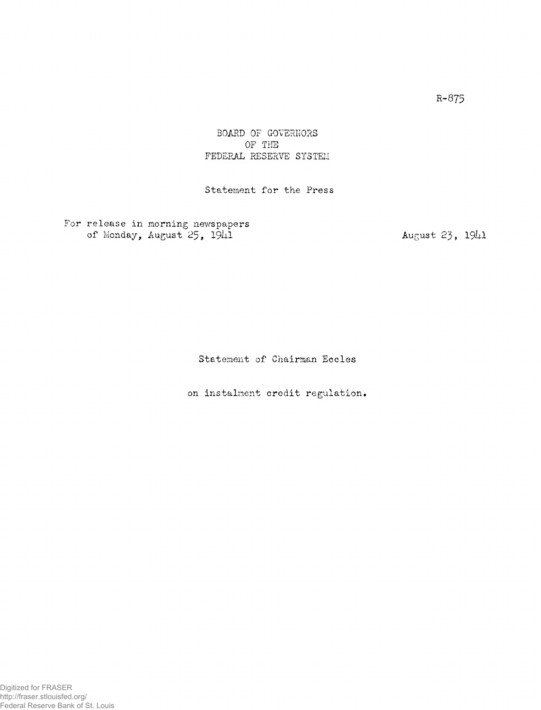## BOARD OF GOVERNORS OF THE FEDERAL RESERVE SYSTEM

Statement for the Press

For release in morning newspapers of Monday, August  $25$ ,  $19\mu$ 1 August 23,  $19\mu$ 1

Statement of Chairman Eccles

on instalment credit regulation.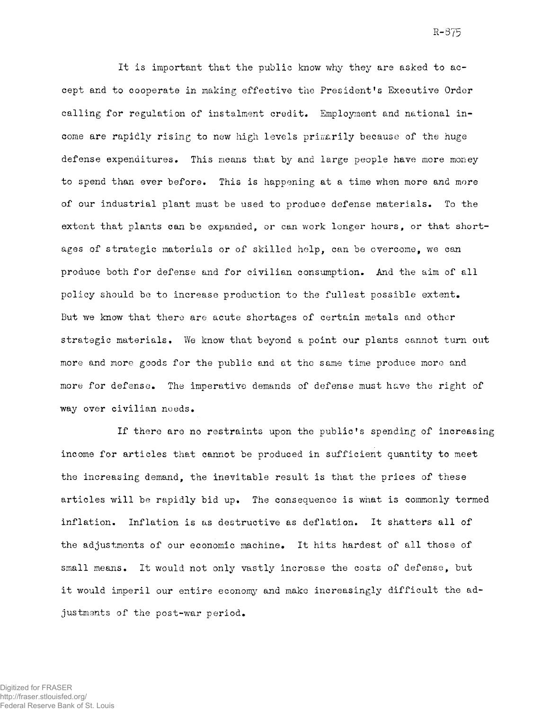It is important that the public know why they are asked to accept and to cooperate in making effective the President's Executive Order calling for regulation of instalment credit. Employment and national income are rapidly rising to new high levels primarily because of the huge defense expenditures. This means that by and large people have more money to spend than ever before. This is happening at a time when more and more of our industrial plant must be used to produce defense materials. To the extent that plants can be expanded, or can work longer hours, or that shortages of strategic materials or of skilled help, can be overcome, we can produce both for defense and for civilian consumption. And the aim of all policy should be to increase production to the fullest possible extent. But we know that there are acute shortages of certain metals and other strategic materials. We know that beyond a point our plants cannot turn out more and more goods for the public and at the same time produce more and more for defense. The imperative demands of defense must have the right of way over civilian needs.

If there are no restraints upon the public's spending of increasing income for articles that cannot be produced in sufficient quantity to meet the increasing demand, the inevitable result is that the prices of these articles will be rapidly bid up. The consequence is what is commonly termed inflation. Inflation is as destructive as deflation. It shatters all of the adjustments of our economic machine. It hits hardest of all those of small means. It would not only vastly increase the costs of defense, but it would imperil our entire economy and make increasingly difficult the adjustments of the post-war period.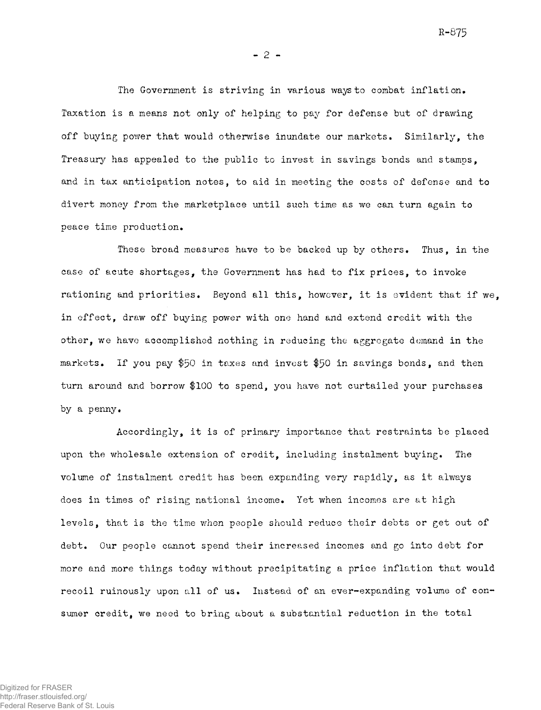**R-875** 

**- 2 -**

The Government is striving in various ways to combat inflation. Taxation is a means not only of helping to pay for defense but of drawing off buying power that would otherwise inundate our markets. Similarly, the Treasury has appealed to the public to invest in savings bonds and stamps, and in tax anticipation notes, to aid in meeting the costs of defense and to divert money from the marketplace until such time as we can turn again to peace time production»

These broad measures have to be backed up by others. Thus, in the case of acute shortages, the Government has had to fix prices, to invoke rationing and priorities. Beyond all this, however, it is evident that if we, in effect, draw off buying power with one hand and extend credit with the other, we have accomplished nothing in reducing the aggregate demand in the markets. If you pay \$50 in taxes and invest \$50 in savings bonds, and then turn around and borrow \$100 to spend, you have not curtailed your purchases by a penny.

Accordingly, it is of primary importance that restraints be placed upon the wholesale extension of credit, including instalment buying. The volume of instalment credit has been expanding very rapidly, as it always does in times of rising national income. Yet when incomes are at high levels, that is the time when people should reduce their debts or get out of debt. Our people cannot spend their increased incomes and go into debt for more and more things today without precipitating a price inflation that would recoil ruinously upon all of us. Instead of an ever-expanding volume of consumer credit, we need to bring about a substantial reduction in the total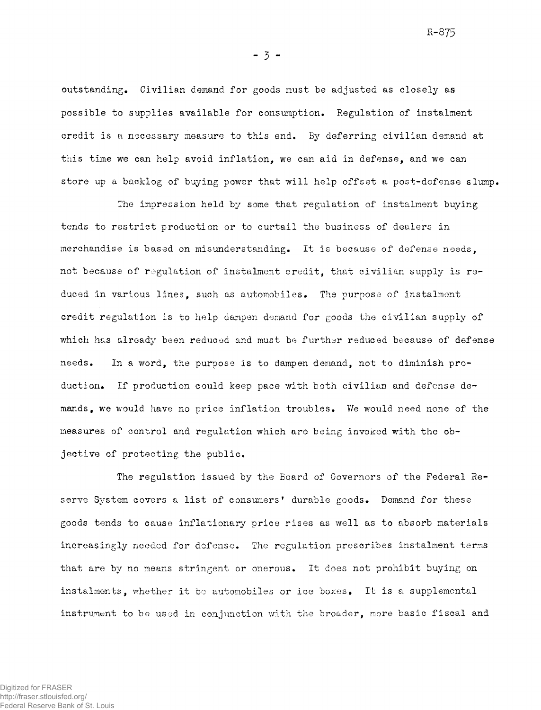**R-875** 

outstanding. Civilian demand for goods must be adjusted as closely as possible to supplies available for consumption. Regulation of instalment credit is a necessary measure to this end. By deferring civilian demand at this time we can help avoid inflation, we can aid in defense, and we can store up a backlog of buying power that will help offset a post-defense slump.

The impression held by some that regulation of instalment buying tends to restrict production or to curtail the business of dealers in merchandise is based on misunderstanding. It is because of defense needs, not because of regulation of instalment credit, that civilian supply is reduced in various lines, such as automobiles. The purpose of instalment credit regulation is to help dampen demand for goods the civilian supply of which has already been reduced and must be further reduced because of defense needs. In a word, the purpose is to dampen demand, not to diminish production. If production could keep pace with both civilian and defense demands, we would have no price inflation troubles. We would need none of the measures of control and regulation which are being invoked with the objective of protecting the public.

The regulation issued by the Board of Governors of the Federal Reserve System covers a list of consumers' durable goods. Demand for these goods tends to cause inflationary price rises as well as to absorb materials increasingly needed for defense. The regulation prescribes instalment terms that are by no means stringent or onerous. It does not prohibit buying on instalments, whether it be automobiles or ice boxes. It is a supplemental instrument to be used in conjunction with the broader, more basic fiscal and

**- 3 -**